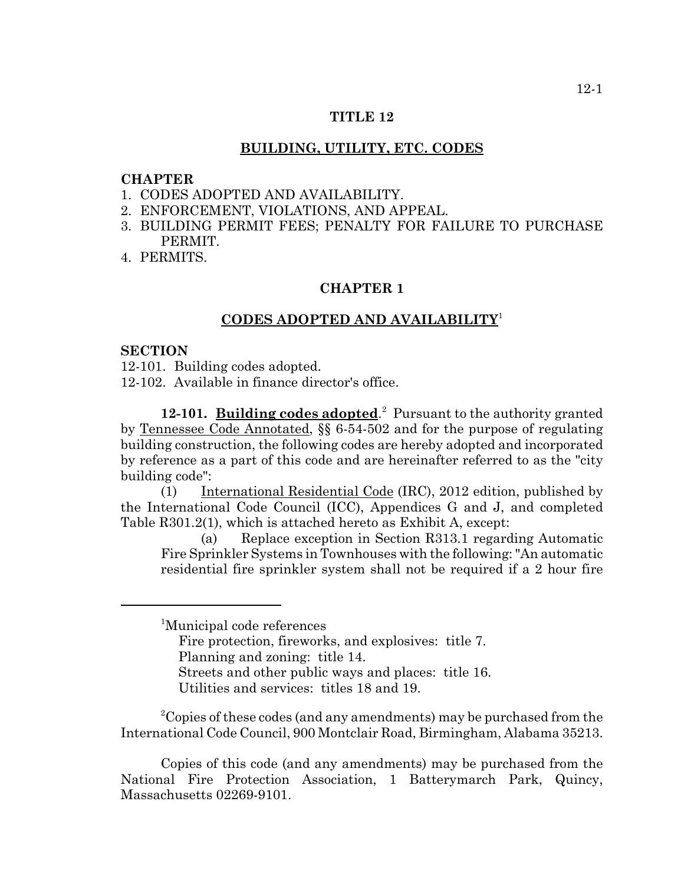# **TITLE 12**

## **BUILDING, UTILITY, ETC. CODES**

# **CHAPTER**

- 1. CODES ADOPTED AND AVAILABILITY.
- 2. ENFORCEMENT, VIOLATIONS, AND APPEAL.
- 3. BUILDING PERMIT FEES; PENALTY FOR FAILURE TO PURCHASE PERMIT.
- 4. PERMITS.

# **CHAPTER 1**

# **CODES ADOPTED AND AVAILABILITY**<sup>1</sup>

#### **SECTION**

12-101. Building codes adopted.

12-102. Available in finance director's office.

12-101. Building codes adopted.<sup>2</sup> Pursuant to the authority granted by Tennessee Code Annotated, §§ 6-54-502 and for the purpose of regulating building construction, the following codes are hereby adopted and incorporated by reference as a part of this code and are hereinafter referred to as the "city building code":

(1) International Residential Code (IRC), 2012 edition, published by the International Code Council (ICC), Appendices G and J, and completed Table R301.2(1), which is attached hereto as Exhibit A, except:

(a) Replace exception in Section R313.1 regarding Automatic Fire Sprinkler Systems in Townhouses with the following: "An automatic residential fire sprinkler system shall not be required if a 2 hour fire

<sup>1</sup>Municipal code references

Fire protection, fireworks, and explosives: title 7.

Planning and zoning: title 14.

Streets and other public ways and places: title 16.

Utilities and services: titles 18 and 19.

 $^{2}$ Copies of these codes (and any amendments) may be purchased from the International Code Council, 900 Montclair Road, Birmingham, Alabama 35213.

Copies of this code (and any amendments) may be purchased from the National Fire Protection Association, 1 Batterymarch Park, Quincy, Massachusetts 02269-9101.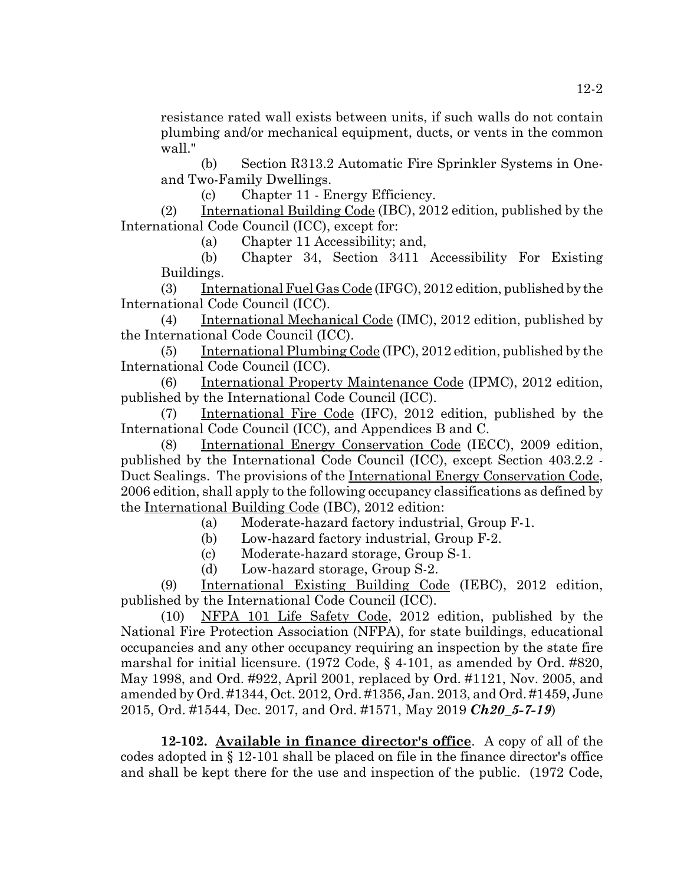resistance rated wall exists between units, if such walls do not contain plumbing and/or mechanical equipment, ducts, or vents in the common wall."

(b) Section R313.2 Automatic Fire Sprinkler Systems in Oneand Two-Family Dwellings.

(c) Chapter 11 - Energy Efficiency.

(2) International Building Code (IBC), 2012 edition, published by the International Code Council (ICC), except for:

(a) Chapter 11 Accessibility; and,

(b) Chapter 34, Section 3411 Accessibility For Existing Buildings.

(3) International Fuel Gas Code (IFGC), 2012 edition, published by the International Code Council (ICC).

(4) International Mechanical Code (IMC), 2012 edition, published by the International Code Council (ICC).

(5) International Plumbing Code (IPC), 2012 edition, published by the International Code Council (ICC).

(6) International Property Maintenance Code (IPMC), 2012 edition, published by the International Code Council (ICC).

(7) International Fire Code (IFC), 2012 edition, published by the International Code Council (ICC), and Appendices B and C.

(8) International Energy Conservation Code (IECC), 2009 edition, published by the International Code Council (ICC), except Section 403.2.2 - Duct Sealings. The provisions of the International Energy Conservation Code, 2006 edition, shall apply to the following occupancy classifications as defined by the International Building Code (IBC), 2012 edition:

(a) Moderate-hazard factory industrial, Group F-1.

- (b) Low-hazard factory industrial, Group F-2.
- (c) Moderate-hazard storage, Group S-1.
- (d) Low-hazard storage, Group S-2.

(9) International Existing Building Code (IEBC), 2012 edition, published by the International Code Council (ICC).

(10) NFPA 101 Life Safety Code, 2012 edition, published by the National Fire Protection Association (NFPA), for state buildings, educational occupancies and any other occupancy requiring an inspection by the state fire marshal for initial licensure. (1972 Code, § 4-101, as amended by Ord. #820, May 1998, and Ord. #922, April 2001, replaced by Ord. #1121, Nov. 2005, and amended by Ord. #1344, Oct. 2012, Ord. #1356, Jan. 2013, and Ord. #1459, June 2015, Ord. #1544, Dec. 2017, and Ord. #1571, May 2019 *Ch20\_5-7-19*)

**12-102. Available in finance director's office**. A copy of all of the codes adopted in § 12-101 shall be placed on file in the finance director's office and shall be kept there for the use and inspection of the public. (1972 Code,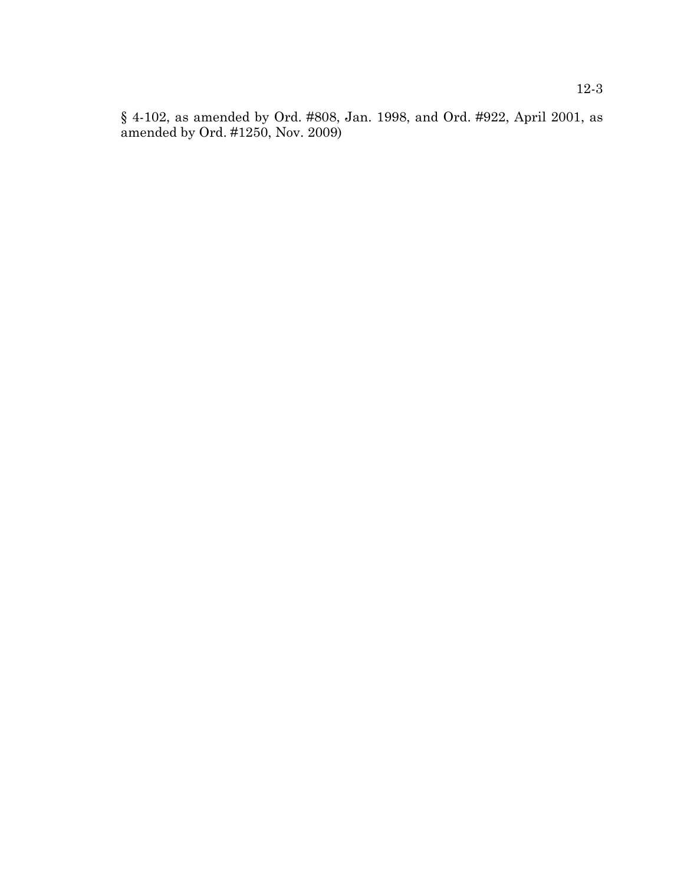§ 4-102, as amended by Ord. #808, Jan. 1998, and Ord. #922, April 2001, as amended by Ord. #1250, Nov. 2009)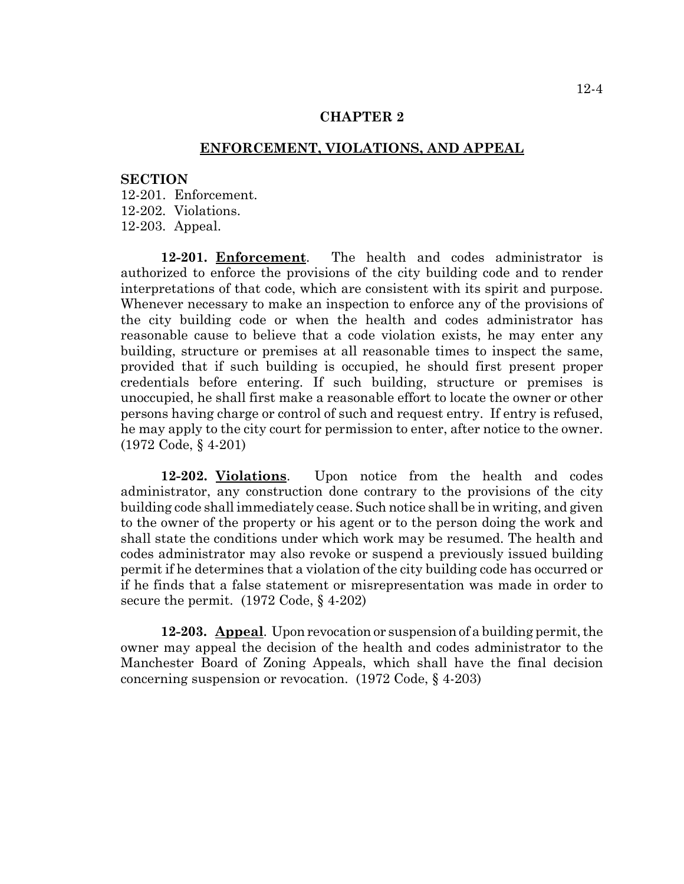# **CHAPTER 2**

# **ENFORCEMENT, VIOLATIONS, AND APPEAL**

#### **SECTION**

12-201. Enforcement. 12-202. Violations. 12-203. Appeal.

**12-201. Enforcement**. The health and codes administrator is authorized to enforce the provisions of the city building code and to render interpretations of that code, which are consistent with its spirit and purpose. Whenever necessary to make an inspection to enforce any of the provisions of the city building code or when the health and codes administrator has reasonable cause to believe that a code violation exists, he may enter any building, structure or premises at all reasonable times to inspect the same, provided that if such building is occupied, he should first present proper credentials before entering. If such building, structure or premises is unoccupied, he shall first make a reasonable effort to locate the owner or other persons having charge or control of such and request entry. If entry is refused, he may apply to the city court for permission to enter, after notice to the owner. (1972 Code, § 4-201)

**12-202. Violations**. Upon notice from the health and codes administrator, any construction done contrary to the provisions of the city building code shall immediately cease. Such notice shall be in writing, and given to the owner of the property or his agent or to the person doing the work and shall state the conditions under which work may be resumed. The health and codes administrator may also revoke or suspend a previously issued building permit if he determines that a violation of the city building code has occurred or if he finds that a false statement or misrepresentation was made in order to secure the permit. (1972 Code, § 4-202)

**12-203. Appeal**. Upon revocation or suspension of a building permit, the owner may appeal the decision of the health and codes administrator to the Manchester Board of Zoning Appeals, which shall have the final decision concerning suspension or revocation. (1972 Code, § 4-203)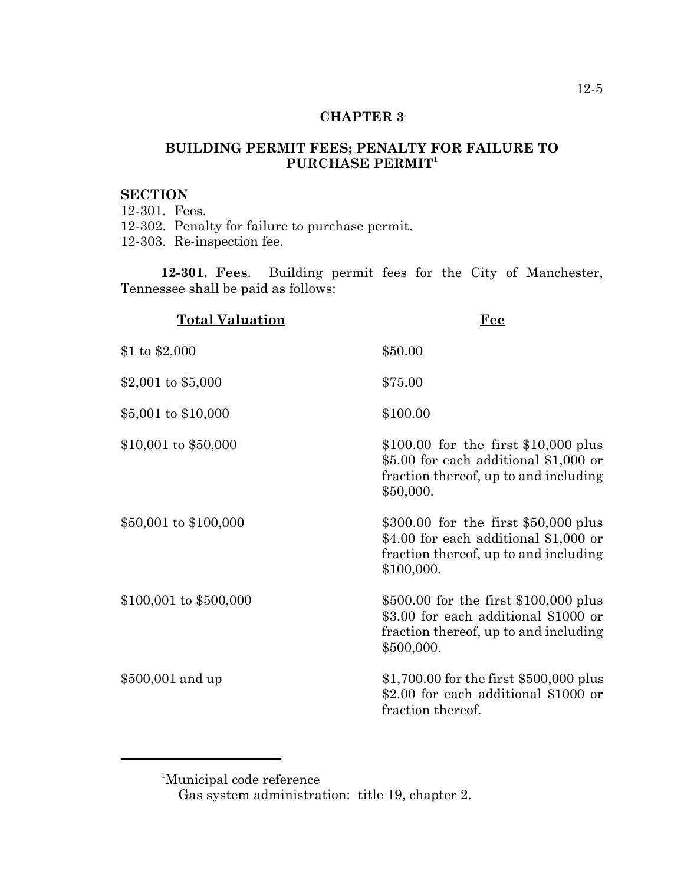# **CHAPTER 3**

# **BUILDING PERMIT FEES; PENALTY FOR FAILURE TO** PURCHASE PERMIT<sup>1</sup>

# **SECTION**

12-301. Fees. 12-302. Penalty for failure to purchase permit. 12-303. Re-inspection fee.

**12-301. Fees**. Building permit fees for the City of Manchester, Tennessee shall be paid as follows:

| <b>Total Valuation</b> | Fee                                                                                                                                    |
|------------------------|----------------------------------------------------------------------------------------------------------------------------------------|
| \$1 to $$2,000$        | \$50.00                                                                                                                                |
| \$2,001 to $$5,000$    | \$75.00                                                                                                                                |
| $$5,001$ to $$10,000$  | \$100.00                                                                                                                               |
| \$10,001 to \$50,000   | \$100.00 for the first \$10,000 plus<br>$$5.00$ for each additional $$1,000$ or<br>fraction thereof, up to and including<br>\$50,000.  |
| \$50,001 to \$100,000  | $$300.00$ for the first $$50,000$ plus<br>\$4.00 for each additional \$1,000 or<br>fraction thereof, up to and including<br>\$100,000. |
| \$100,001 to \$500,000 | \$500.00 for the first $$100,000$ plus<br>\$3.00 for each additional \$1000 or<br>fraction thereof, up to and including<br>\$500,000.  |
| $$500,001$ and up      | $$1,700.00$ for the first $$500,000$ plus<br>\$2.00 for each additional \$1000 or<br>fraction thereof.                                 |

1 Municipal code reference

Gas system administration: title 19, chapter 2.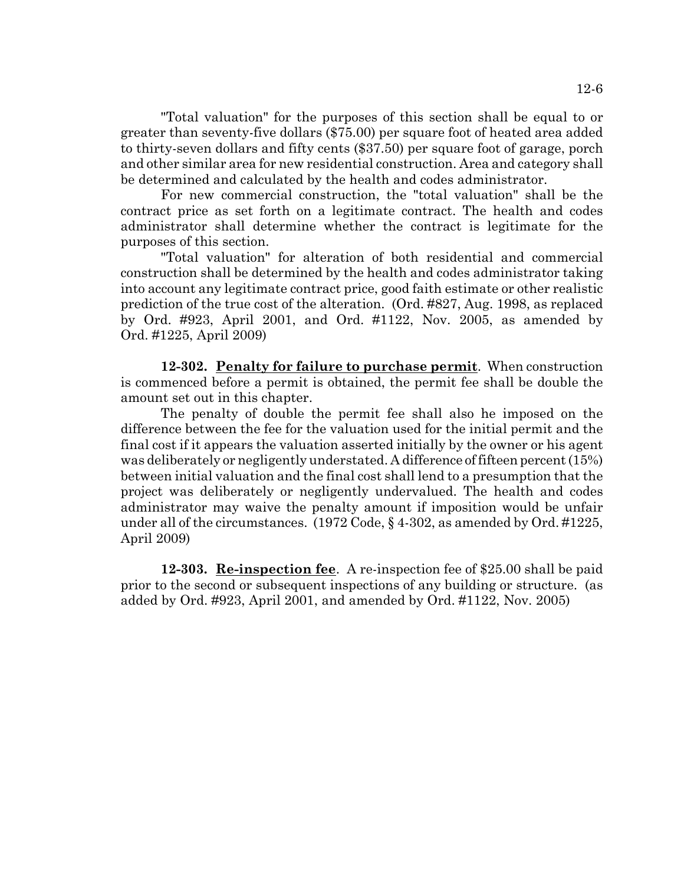"Total valuation" for the purposes of this section shall be equal to or greater than seventy-five dollars (\$75.00) per square foot of heated area added to thirty-seven dollars and fifty cents (\$37.50) per square foot of garage, porch and other similar area for new residential construction. Area and category shall be determined and calculated by the health and codes administrator.

For new commercial construction, the "total valuation" shall be the contract price as set forth on a legitimate contract. The health and codes administrator shall determine whether the contract is legitimate for the purposes of this section.

"Total valuation" for alteration of both residential and commercial construction shall be determined by the health and codes administrator taking into account any legitimate contract price, good faith estimate or other realistic prediction of the true cost of the alteration. (Ord. #827, Aug. 1998, as replaced by Ord. #923, April 2001, and Ord. #1122, Nov. 2005, as amended by Ord. #1225, April 2009)

**12-302. Penalty for failure to purchase permit**. When construction is commenced before a permit is obtained, the permit fee shall be double the amount set out in this chapter.

The penalty of double the permit fee shall also he imposed on the difference between the fee for the valuation used for the initial permit and the final cost if it appears the valuation asserted initially by the owner or his agent was deliberately or negligently understated. A difference of fifteen percent (15%) between initial valuation and the final cost shall lend to a presumption that the project was deliberately or negligently undervalued. The health and codes administrator may waive the penalty amount if imposition would be unfair under all of the circumstances. (1972 Code, § 4-302, as amended by Ord. #1225, April 2009)

**12-303. Re-inspection fee**. A re-inspection fee of \$25.00 shall be paid prior to the second or subsequent inspections of any building or structure. (as added by Ord. #923, April 2001, and amended by Ord. #1122, Nov. 2005)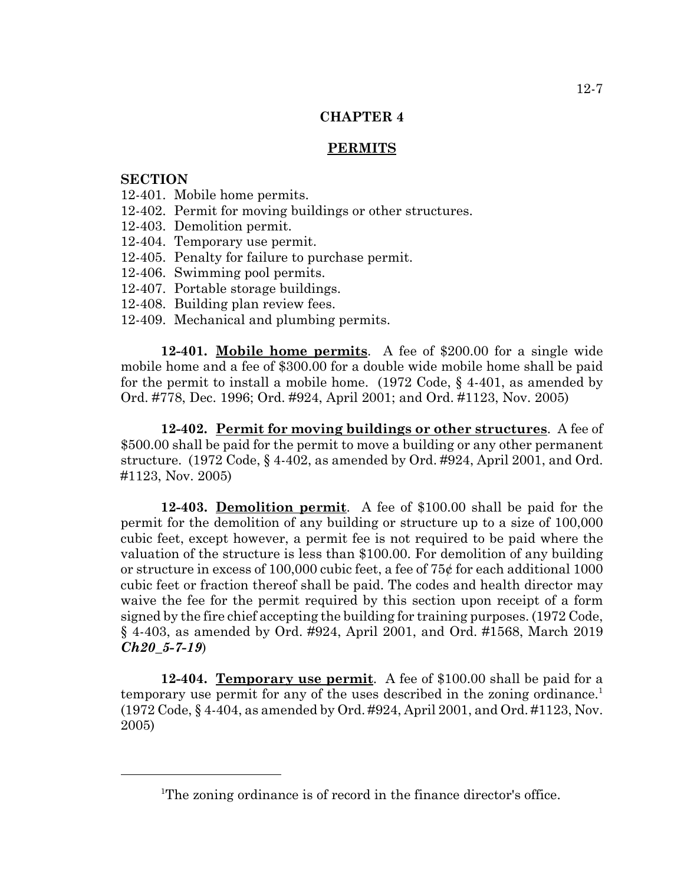# **CHAPTER 4**

### **PERMITS**

# **SECTION**

- 12-401. Mobile home permits.
- 12-402. Permit for moving buildings or other structures.
- 12-403. Demolition permit.
- 12-404. Temporary use permit.
- 12-405. Penalty for failure to purchase permit.
- 12-406. Swimming pool permits.
- 12-407. Portable storage buildings.
- 12-408. Building plan review fees.
- 12-409. Mechanical and plumbing permits.

**12-401. Mobile home permits**. A fee of \$200.00 for a single wide mobile home and a fee of \$300.00 for a double wide mobile home shall be paid for the permit to install a mobile home. (1972 Code, § 4-401, as amended by Ord. #778, Dec. 1996; Ord. #924, April 2001; and Ord. #1123, Nov. 2005)

**12-402. Permit for moving buildings or other structures**. A fee of \$500.00 shall be paid for the permit to move a building or any other permanent structure. (1972 Code, § 4-402, as amended by Ord. #924, April 2001, and Ord. #1123, Nov. 2005)

**12-403. Demolition permit**. A fee of \$100.00 shall be paid for the permit for the demolition of any building or structure up to a size of 100,000 cubic feet, except however, a permit fee is not required to be paid where the valuation of the structure is less than \$100.00. For demolition of any building or structure in excess of 100,000 cubic feet, a fee of  $75¢$  for each additional 1000 cubic feet or fraction thereof shall be paid. The codes and health director may waive the fee for the permit required by this section upon receipt of a form signed by the fire chief accepting the building for training purposes. (1972 Code, § 4-403, as amended by Ord. #924, April 2001, and Ord. #1568, March 2019 *Ch20\_5-7-19*)

**12-404. Temporary use permit**. A fee of \$100.00 shall be paid for a temporary use permit for any of the uses described in the zoning ordinance.<sup>1</sup> (1972 Code, § 4-404, as amended by Ord. #924, April 2001, and Ord. #1123, Nov. 2005)

<sup>&</sup>lt;sup>1</sup>The zoning ordinance is of record in the finance director's office.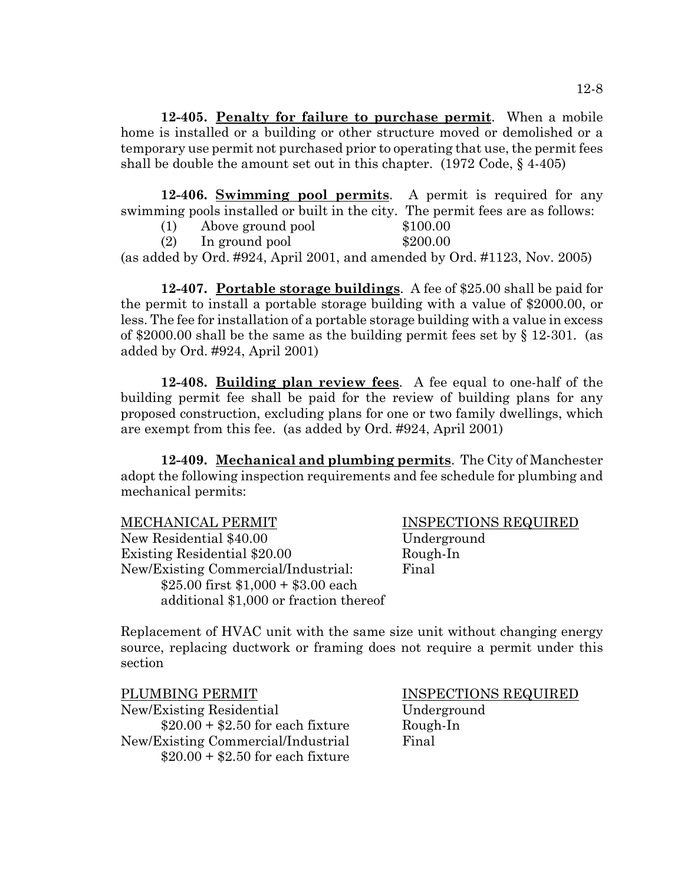**12-405. Penalty for failure to purchase permit**. When a mobile home is installed or a building or other structure moved or demolished or a temporary use permit not purchased prior to operating that use, the permit fees shall be double the amount set out in this chapter.  $(1972 \text{ Code}, \S 4-405)$ 

**12-406. Swimming pool permits**. A permit is required for any swimming pools installed or built in the city. The permit fees are as follows:

(1) Above ground pool \$100.00

(2) In ground pool  $$200.00$ 

(as added by Ord. #924, April 2001, and amended by Ord. #1123, Nov. 2005)

**12-407. Portable storage buildings**. A fee of \$25.00 shall be paid for the permit to install a portable storage building with a value of \$2000.00, or less. The fee for installation of a portable storage building with a value in excess of \$2000.00 shall be the same as the building permit fees set by  $\S$  12-301. (as added by Ord. #924, April 2001)

**12-408. Building plan review fees**. A fee equal to one-half of the building permit fee shall be paid for the review of building plans for any proposed construction, excluding plans for one or two family dwellings, which are exempt from this fee. (as added by Ord. #924, April 2001)

**12-409. Mechanical and plumbing permits**. The City of Manchester adopt the following inspection requirements and fee schedule for plumbing and mechanical permits:

| <b>MECHANICAL PERMIT</b>               | <b>INSP</b> |
|----------------------------------------|-------------|
| New Residential \$40.00                | Unde        |
| Existing Residential \$20.00           | Roug        |
| New/Existing Commercial/Industrial:    | Final       |
| \$25.00 first $$1,000 + $3.00$ each    |             |
| additional \$1,000 or fraction thereof |             |

INSPECTIONS REQUIRED Underground Rough-In

Replacement of HVAC unit with the same size unit without changing energy source, replacing ductwork or framing does not require a permit under this section

PLUMBING PERMIT INSPECTIONS REQUIRED New/Existing Residential Underground  $$20.00 + $2.50$  for each fixture Rough-In New/Existing Commercial/Industrial Final  $$20.00 + $2.50$  for each fixture